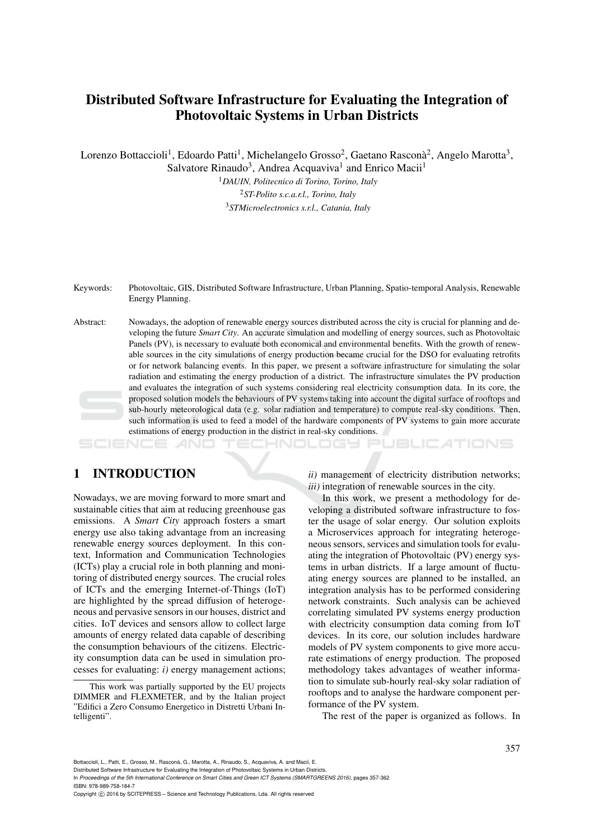# Distributed Software Infrastructure for Evaluating the Integration of Photovoltaic Systems in Urban Districts

Lorenzo Bottaccioli<sup>1</sup>, Edoardo Patti<sup>1</sup>, Michelangelo Grosso<sup>2</sup>, Gaetano Rasconà<sup>2</sup>, Angelo Marotta<sup>3</sup>,

Salvatore Rinaudo<sup>3</sup>, Andrea Acquaviva<sup>1</sup> and Enrico Macii<sup>1</sup>

<sup>1</sup>*DAUIN, Politecnico di Torino, Torino, Italy* <sup>2</sup>*ST-Polito s.c.a.r.l., Torino, Italy* <sup>3</sup>*STMicroelectronics s.r.l., Catania, Italy*

Keywords: Photovoltaic, GIS, Distributed Software Infrastructure, Urban Planning, Spatio-temporal Analysis, Renewable Energy Planning.

Abstract: Nowadays, the adoption of renewable energy sources distributed across the city is crucial for planning and developing the future *Smart City*. An accurate simulation and modelling of energy sources, such as Photovoltaic Panels (PV), is necessary to evaluate both economical and environmental benefits. With the growth of renewable sources in the city simulations of energy production became crucial for the DSO for evaluating retrofits or for network balancing events. In this paper, we present a software infrastructure for simulating the solar radiation and estimating the energy production of a district. The infrastructure simulates the PV production and evaluates the integration of such systems considering real electricity consumption data. In its core, the proposed solution models the behaviours of PV systems taking into account the digital surface of rooftops and sub-hourly meteorological data (e.g. solar radiation and temperature) to compute real-sky conditions. Then, such information is used to feed a model of the hardware components of PV systems to gain more accurate estimations of energy production in the district in real-sky conditions.

# 1 INTRODUCTION

Nowadays, we are moving forward to more smart and sustainable cities that aim at reducing greenhouse gas emissions. A *Smart City* approach fosters a smart energy use also taking advantage from an increasing renewable energy sources deployment. In this context, Information and Communication Technologies (ICTs) play a crucial role in both planning and monitoring of distributed energy sources. The crucial roles of ICTs and the emerging Internet-of-Things (IoT) are highlighted by the spread diffusion of heterogeneous and pervasive sensors in our houses, district and cities. IoT devices and sensors allow to collect large amounts of energy related data capable of describing the consumption behaviours of the citizens. Electricity consumption data can be used in simulation processes for evaluating: *i)* energy management actions;

*ii)* management of electricity distribution networks; *iii)* integration of renewable sources in the city.

HNOLOGY PUBLICATIONS

In this work, we present a methodology for developing a distributed software infrastructure to foster the usage of solar energy. Our solution exploits a Microservices approach for integrating heterogeneous sensors, services and simulation tools for evaluating the integration of Photovoltaic (PV) energy systems in urban districts. If a large amount of fluctuating energy sources are planned to be installed, an integration analysis has to be performed considering network constraints. Such analysis can be achieved correlating simulated PV systems energy production with electricity consumption data coming from IoT devices. In its core, our solution includes hardware models of PV system components to give more accurate estimations of energy production. The proposed methodology takes advantages of weather information to simulate sub-hourly real-sky solar radiation of rooftops and to analyse the hardware component performance of the PV system.

The rest of the paper is organized as follows. In

This work was partially supported by the EU projects DIMMER and FLEXMETER, and by the Italian project "Edifici a Zero Consumo Energetico in Distretti Urbani Intelligenti".

In *Proceedings of the 5th International Conference on Smart Cities and Green ICT Systems (SMARTGREENS 2016)*, pages 357-362 ISBN: 978-989-758-184-7

Copyright (C) 2016 by SCITEPRESS - Science and Technology Publications, Lda. All rights reserved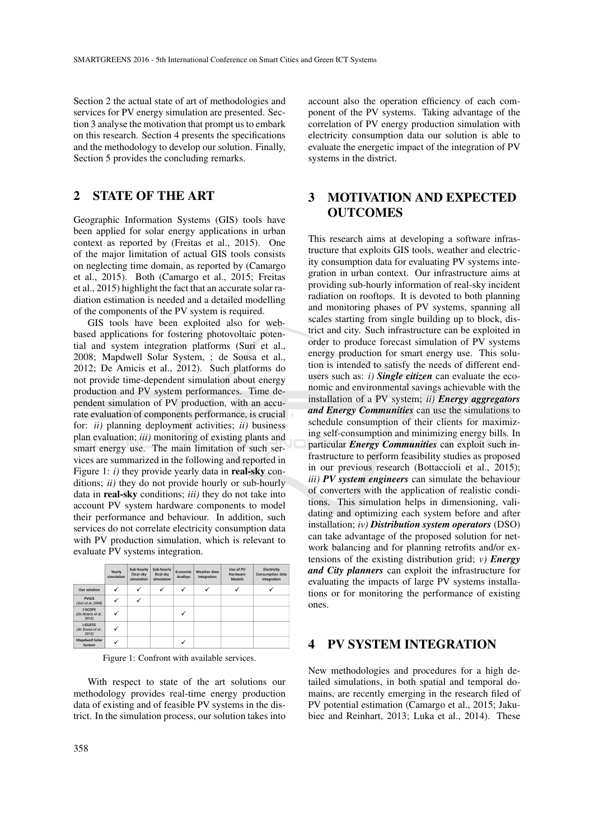Section 2 the actual state of art of methodologies and services for PV energy simulation are presented. Section 3 analyse the motivation that prompt us to embark on this research. Section 4 presents the specifications and the methodology to develop our solution. Finally, Section 5 provides the concluding remarks.

# 2 STATE OF THE ART

Geographic Information Systems (GIS) tools have been applied for solar energy applications in urban context as reported by (Freitas et al., 2015). One of the major limitation of actual GIS tools consists on neglecting time domain, as reported by (Camargo et al., 2015). Both (Camargo et al., 2015; Freitas et al., 2015) highlight the fact that an accurate solar radiation estimation is needed and a detailed modelling of the components of the PV system is required.

GIS tools have been exploited also for webbased applications for fostering photovoltaic potential and system integration platforms (Suri et al., 2008; Mapdwell Solar System, ; de Sousa et al., 2012; De Amicis et al., 2012). Such platforms do not provide time-dependent simulation about energy production and PV system performances. Time dependent simulation of PV production, with an accurate evaluation of components performance, is crucial for: *ii)* planning deployment activities; *ii)* business plan evaluation; *iii)* monitoring of existing plants and smart energy use. The main limitation of such services are summarized in the following and reported in Figure 1: *i*) they provide yearly data in **real-sky** conditions; *ii)* they do not provide hourly or sub-hourly data in real-sky conditions; *iii)* they do not take into account PV system hardware components to model their performance and behaviour. In addition, such services do not correlate electricity consumption data with PV production simulation, which is relevant to evaluate PV systems integration.

|                                               | Yearly<br>simulation | Sub-hourly<br>Clear-sky<br>simulation | Sub-hourly<br>Real-sky<br>simulation | Economic<br>Analisys | Weather data<br>integration | Use of PV<br>Hardware<br><b>Models</b> | Electricity<br><b>Consumption data</b><br>integration |
|-----------------------------------------------|----------------------|---------------------------------------|--------------------------------------|----------------------|-----------------------------|----------------------------------------|-------------------------------------------------------|
| <b>Our solution</b>                           |                      |                                       | √                                    | ✓                    |                             |                                        |                                                       |
| <b>PVGIS</b><br>(Suri et al., 2008)           | v                    |                                       |                                      |                      |                             |                                        |                                                       |
| <b>I-SCOPE</b><br>(De Amicis et al.,<br>2012) | v                    |                                       |                                      |                      |                             |                                        |                                                       |
| <b>i-GUESS</b><br>(de Sousa et al.,<br>20121  | u                    |                                       |                                      |                      |                             |                                        |                                                       |
| <b>Mapdwell Solar</b><br>System               |                      |                                       |                                      |                      |                             |                                        |                                                       |

Figure 1: Confront with available services.

With respect to state of the art solutions our methodology provides real-time energy production data of existing and of feasible PV systems in the district. In the simulation process, our solution takes into

account also the operation efficiency of each component of the PV systems. Taking advantage of the correlation of PV energy production simulation with electricity consumption data our solution is able to evaluate the energetic impact of the integration of PV systems in the district.

# 3 MOTIVATION AND EXPECTED **OUTCOMES**

This research aims at developing a software infrastructure that exploits GIS tools, weather and electricity consumption data for evaluating PV systems integration in urban context. Our infrastructure aims at providing sub-hourly information of real-sky incident radiation on rooftops. It is devoted to both planning and monitoring phases of PV systems, spanning all scales starting from single building up to block, district and city. Such infrastructure can be exploited in order to produce forecast simulation of PV systems energy production for smart energy use. This solution is intended to satisfy the needs of different endusers such as: *i) Single citizen* can evaluate the economic and environmental savings achievable with the installation of a PV system; *ii) Energy aggregators and Energy Communities* can use the simulations to schedule consumption of their clients for maximizing self-consumption and minimizing energy bills. In particular *Energy Communities* can exploit such infrastructure to perform feasibility studies as proposed in our previous research (Bottaccioli et al., 2015); *iii) PV system engineers* can simulate the behaviour of converters with the application of realistic conditions. This simulation helps in dimensioning, validating and optimizing each system before and after installation; *iv) Distribution system operators* (DSO) can take advantage of the proposed solution for network balancing and for planning retrofits and/or extensions of the existing distribution grid; *v) Energy and City planners* can exploit the infrastructure for evaluating the impacts of large PV systems installations or for monitoring the performance of existing ones.

### 4 PV SYSTEM INTEGRATION

New methodologies and procedures for a high detailed simulations, in both spatial and temporal domains, are recently emerging in the research filed of PV potential estimation (Camargo et al., 2015; Jakubiec and Reinhart, 2013; Luka et al., 2014). These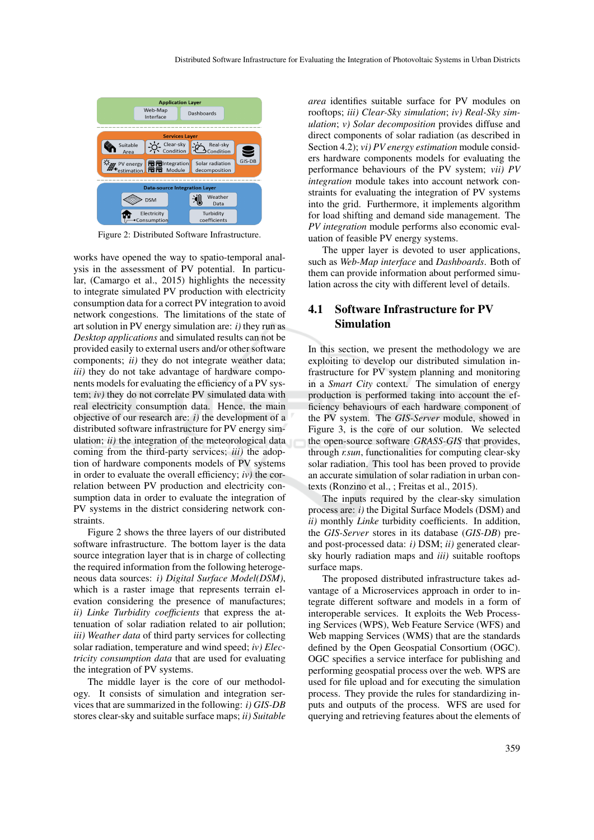

Figure 2: Distributed Software Infrastructure.

works have opened the way to spatio-temporal analysis in the assessment of PV potential. In particular, (Camargo et al., 2015) highlights the necessity to integrate simulated PV production with electricity consumption data for a correct PV integration to avoid network congestions. The limitations of the state of art solution in PV energy simulation are: *i)* they run as *Desktop applications* and simulated results can not be provided easily to external users and/or other software components; *ii)* they do not integrate weather data; *iii)* they do not take advantage of hardware components models for evaluating the efficiency of a PV system; *iv)* they do not correlate PV simulated data with real electricity consumption data. Hence, the main objective of our research are: *i)* the development of a distributed software infrastructure for PV energy simulation; *ii)* the integration of the meteorological data coming from the third-party services; *iii)* the adoption of hardware components models of PV systems in order to evaluate the overall efficiency; *iv)* the correlation between PV production and electricity consumption data in order to evaluate the integration of PV systems in the district considering network constraints.

Figure 2 shows the three layers of our distributed software infrastructure. The bottom layer is the data source integration layer that is in charge of collecting the required information from the following heterogeneous data sources: *i) Digital Surface Model(DSM)*, which is a raster image that represents terrain elevation considering the presence of manufactures; *ii) Linke Turbidity coefficients* that express the attenuation of solar radiation related to air pollution; *iii) Weather data* of third party services for collecting solar radiation, temperature and wind speed; *iv) Electricity consumption data* that are used for evaluating the integration of PV systems.

The middle layer is the core of our methodology. It consists of simulation and integration services that are summarized in the following: *i) GIS-DB* stores clear-sky and suitable surface maps; *ii) Suitable* *area* identifies suitable surface for PV modules on rooftops; *iii) Clear-Sky simulation*; *iv) Real-Sky simulation*; *v) Solar decomposition* provides diffuse and direct components of solar radiation (as described in Section 4.2); *vi) PV energy estimation* module considers hardware components models for evaluating the performance behaviours of the PV system; *vii) PV integration* module takes into account network constraints for evaluating the integration of PV systems into the grid. Furthermore, it implements algorithm for load shifting and demand side management. The *PV integration* module performs also economic evaluation of feasible PV energy systems.

The upper layer is devoted to user applications, such as *Web-Map interface* and *Dashboards*. Both of them can provide information about performed simulation across the city with different level of details.

## 4.1 Software Infrastructure for PV Simulation

In this section, we present the methodology we are exploiting to develop our distributed simulation infrastructure for PV system planning and monitoring in a *Smart City* context. The simulation of energy production is performed taking into account the efficiency behaviours of each hardware component of the PV system. The *GIS-Server* module, showed in Figure 3, is the core of our solution. We selected the open-source software *GRASS-GIS* that provides, through *r.sun*, functionalities for computing clear-sky solar radiation. This tool has been proved to provide an accurate simulation of solar radiation in urban contexts (Ronzino et al., ; Freitas et al., 2015).

The inputs required by the clear-sky simulation process are: *i)* the Digital Surface Models (DSM) and *ii)* monthly *Linke* turbidity coefficients. In addition, the *GIS-Server* stores in its database (*GIS-DB*) preand post-processed data: *i)* DSM; *ii)* generated clearsky hourly radiation maps and *iii)* suitable rooftops surface maps.

The proposed distributed infrastructure takes advantage of a Microservices approach in order to integrate different software and models in a form of interoperable services. It exploits the Web Processing Services (WPS), Web Feature Service (WFS) and Web mapping Services (WMS) that are the standards defined by the Open Geospatial Consortium (OGC). OGC specifies a service interface for publishing and performing geospatial process over the web. WPS are used for file upload and for executing the simulation process. They provide the rules for standardizing inputs and outputs of the process. WFS are used for querying and retrieving features about the elements of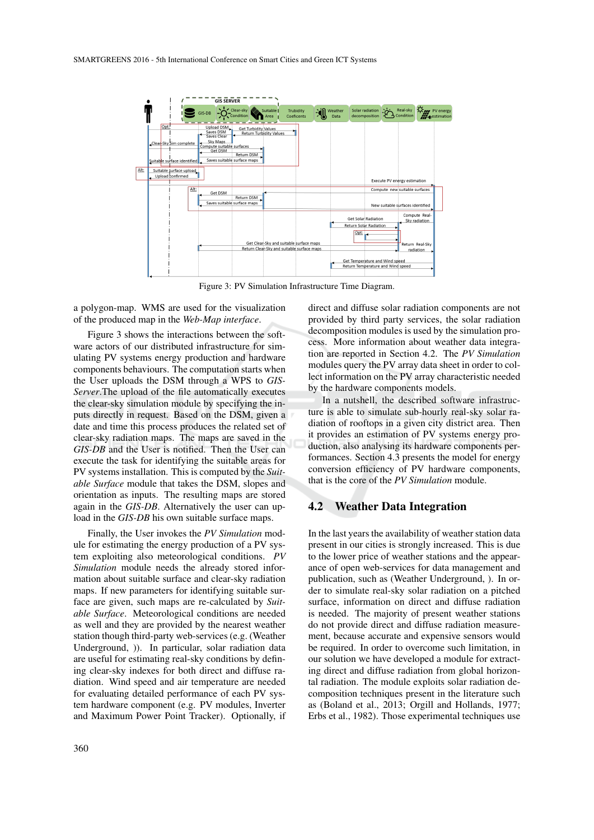

Figure 3: PV Simulation Infrastructure Time Diagram.

a polygon-map. WMS are used for the visualization of the produced map in the *Web-Map interface*.

Figure 3 shows the interactions between the software actors of our distributed infrastructure for simulating PV systems energy production and hardware components behaviours. The computation starts when the User uploads the DSM through a WPS to *GIS-Server*.The upload of the file automatically executes the clear-sky simulation module by specifying the inputs directly in request. Based on the DSM, given a date and time this process produces the related set of clear-sky radiation maps. The maps are saved in the *GIS-DB* and the User is notified. Then the User can execute the task for identifying the suitable areas for PV systems installation. This is computed by the *Suitable Surface* module that takes the DSM, slopes and orientation as inputs. The resulting maps are stored again in the *GIS-DB*. Alternatively the user can upload in the *GIS-DB* his own suitable surface maps.

Finally, the User invokes the *PV Simulation* module for estimating the energy production of a PV system exploiting also meteorological conditions. *PV Simulation* module needs the already stored information about suitable surface and clear-sky radiation maps. If new parameters for identifying suitable surface are given, such maps are re-calculated by *Suitable Surface*. Meteorological conditions are needed as well and they are provided by the nearest weather station though third-party web-services (e.g. (Weather Underground, )). In particular, solar radiation data are useful for estimating real-sky conditions by defining clear-sky indexes for both direct and diffuse radiation. Wind speed and air temperature are needed for evaluating detailed performance of each PV system hardware component (e.g. PV modules, Inverter and Maximum Power Point Tracker). Optionally, if direct and diffuse solar radiation components are not provided by third party services, the solar radiation decomposition modules is used by the simulation process. More information about weather data integration are reported in Section 4.2. The *PV Simulation* modules query the PV array data sheet in order to collect information on the PV array characteristic needed by the hardware components models.

In a nutshell, the described software infrastructure is able to simulate sub-hourly real-sky solar radiation of rooftops in a given city district area. Then it provides an estimation of PV systems energy production, also analysing its hardware components performances. Section 4.3 presents the model for energy conversion efficiency of PV hardware components, that is the core of the *PV Simulation* module.

#### 4.2 Weather Data Integration

In the last years the availability of weather station data present in our cities is strongly increased. This is due to the lower price of weather stations and the appearance of open web-services for data management and publication, such as (Weather Underground, ). In order to simulate real-sky solar radiation on a pitched surface, information on direct and diffuse radiation is needed. The majority of present weather stations do not provide direct and diffuse radiation measurement, because accurate and expensive sensors would be required. In order to overcome such limitation, in our solution we have developed a module for extracting direct and diffuse radiation from global horizontal radiation. The module exploits solar radiation decomposition techniques present in the literature such as (Boland et al., 2013; Orgill and Hollands, 1977; Erbs et al., 1982). Those experimental techniques use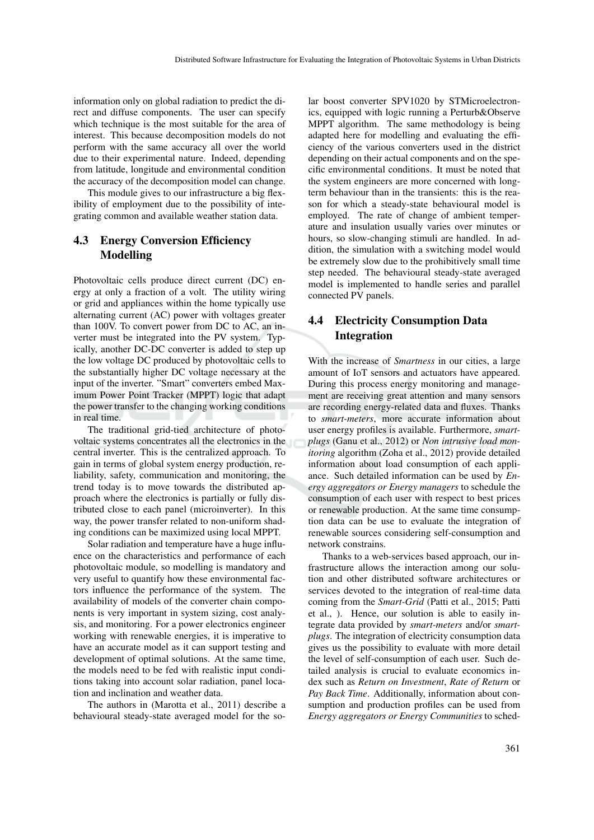information only on global radiation to predict the direct and diffuse components. The user can specify which technique is the most suitable for the area of interest. This because decomposition models do not perform with the same accuracy all over the world due to their experimental nature. Indeed, depending from latitude, longitude and environmental condition the accuracy of the decomposition model can change.

This module gives to our infrastructure a big flexibility of employment due to the possibility of integrating common and available weather station data.

## 4.3 Energy Conversion Efficiency Modelling

Photovoltaic cells produce direct current (DC) energy at only a fraction of a volt. The utility wiring or grid and appliances within the home typically use alternating current (AC) power with voltages greater than 100V. To convert power from DC to AC, an inverter must be integrated into the PV system. Typically, another DC-DC converter is added to step up the low voltage DC produced by photovoltaic cells to the substantially higher DC voltage necessary at the input of the inverter. "Smart" converters embed Maximum Power Point Tracker (MPPT) logic that adapt the power transfer to the changing working conditions in real time.

The traditional grid-tied architecture of photovoltaic systems concentrates all the electronics in the central inverter. This is the centralized approach. To gain in terms of global system energy production, reliability, safety, communication and monitoring, the trend today is to move towards the distributed approach where the electronics is partially or fully distributed close to each panel (microinverter). In this way, the power transfer related to non-uniform shading conditions can be maximized using local MPPT.

Solar radiation and temperature have a huge influence on the characteristics and performance of each photovoltaic module, so modelling is mandatory and very useful to quantify how these environmental factors influence the performance of the system. The availability of models of the converter chain components is very important in system sizing, cost analysis, and monitoring. For a power electronics engineer working with renewable energies, it is imperative to have an accurate model as it can support testing and development of optimal solutions. At the same time, the models need to be fed with realistic input conditions taking into account solar radiation, panel location and inclination and weather data.

The authors in (Marotta et al., 2011) describe a behavioural steady-state averaged model for the so-

lar boost converter SPV1020 by STMicroelectronics, equipped with logic running a Perturb&Observe MPPT algorithm. The same methodology is being adapted here for modelling and evaluating the efficiency of the various converters used in the district depending on their actual components and on the specific environmental conditions. It must be noted that the system engineers are more concerned with longterm behaviour than in the transients: this is the reason for which a steady-state behavioural model is employed. The rate of change of ambient temperature and insulation usually varies over minutes or hours, so slow-changing stimuli are handled. In addition, the simulation with a switching model would be extremely slow due to the prohibitively small time step needed. The behavioural steady-state averaged model is implemented to handle series and parallel connected PV panels.

# 4.4 Electricity Consumption Data Integration

With the increase of *Smartness* in our cities, a large amount of IoT sensors and actuators have appeared. During this process energy monitoring and management are receiving great attention and many sensors are recording energy-related data and fluxes. Thanks to *smart-meters*, more accurate information about user energy profiles is available. Furthermore, *smartplugs* (Ganu et al., 2012) or *Non intrusive load monitoring* algorithm (Zoha et al., 2012) provide detailed information about load consumption of each appliance. Such detailed information can be used by *Energy aggregators or Energy managers* to schedule the consumption of each user with respect to best prices or renewable production. At the same time consumption data can be use to evaluate the integration of renewable sources considering self-consumption and network constrains.

Thanks to a web-services based approach, our infrastructure allows the interaction among our solution and other distributed software architectures or services devoted to the integration of real-time data coming from the *Smart-Grid* (Patti et al., 2015; Patti et al., ). Hence, our solution is able to easily integrate data provided by *smart-meters* and/or *smartplugs*. The integration of electricity consumption data gives us the possibility to evaluate with more detail the level of self-consumption of each user. Such detailed analysis is crucial to evaluate economics index such as *Return on Investment*, *Rate of Return* or *Pay Back Time*. Additionally, information about consumption and production profiles can be used from *Energy aggregators or Energy Communities* to sched